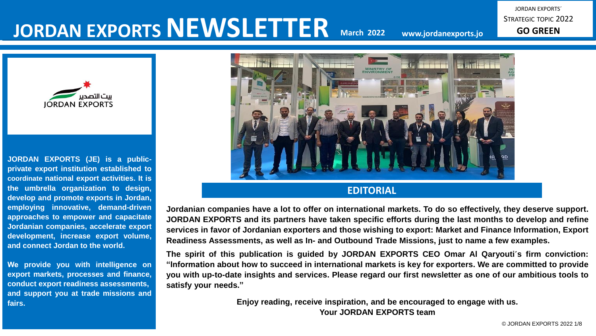# **JORDAN EXPORTS NEWSLETTER**

**March 2022 www.jordanexports.jo**

JORDAN EXPORTS´ STRATEGIC TOPIC 2022 **GO GREEN**



**JORDAN EXPORTS (JE) is a publicprivate export institution established to coordinate national export activities. It is the umbrella organization to design, develop and promote exports in Jordan, employing innovative, demand-driven approaches to empower and capacitate Jordanian companies, accelerate export development, increase export volume, and connect Jordan to the world.**

**We provide you with intelligence on export markets, processes and finance, conduct export readiness assessments, and support you at trade missions and fairs.**



Jordanian companies have a lot to offer on international markets. To do so effectively, they deserve support. **JORDAN EXPORTS and its partners have taken specific efforts during the last months to develop and refine services in favor of Jordanian exporters and those wishing to export: Market and Finance Information, Export Readiness Assessments, as well as In- and Outbound Trade Missions, just to name a few examples.**

**The spirit of this publication is guided by JORDAN EXPORTS CEO Omar Al Qaryouti´s firm conviction:** "Information about how to succeed in international markets is key for exporters. We are committed to provide you with up-to-date insights and services. Please regard our first newsletter as one of our ambitious tools to **satisfy your needs."**

> **Enjoy reading, receive inspiration, and be encouraged to engage with us. Your JORDAN EXPORTS team**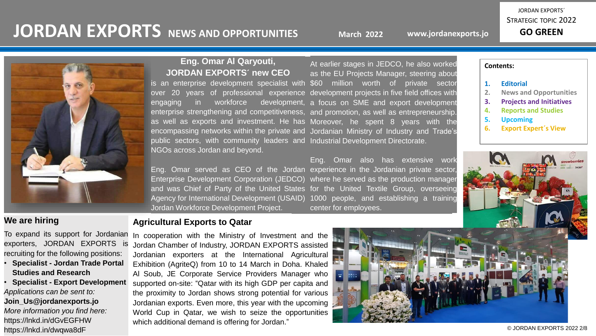# **JORDAN EXPORTS** NEWS AND OPPORTUNITIES

**March 2022**

**www.jordanexports.jo**

JORDAN EXPORTS´ STRATEGIC TOPIC 2022 **GO GREEN**



### **Eng. Omar Al Qaryouti, JORDAN EXPORTS´ new CEO**

encompassing networks within the private and Jordanian Ministry of Industry and<br>public sectors, with community leaders and Industrial Development Directorate. over 20 years of professional experience development projects in five field offices with engaging in workforce development, a focus on SME and export development enterprise strengthening and competitiveness, and promotion, as well as entrepreneurship. as well as exports and investment. He has Moreover, he spent 8 years with the encompassing networks within the private and Jordanian Ministry of Industry and Trade's is an enterprise development specialist with NGOs across Jordan and beyond.

Eng. Omar served as CEO of the Jordan experience in the Jordanian private sector, where he served as the production manager for the United Textile Group, overseeing 1000 people, and establishing a training center for employees. Enterprise Development Corporation (JEDCO) and was Chief of Party of the United States Agency for International Development (USAID) Jordan Workforce Development Project.

At earlier stages in JEDCO, he also worked as the EU Projects Manager, steering about \$60 million worth of private sector

**Contents:**

- **1. Editorial**
- **2. News and Opportunities**
- **3. Projects and Initiatives**
- **4. Reports and Studies**
- **5. Upcoming**
- **6. Export Expert´s View**



### **We are hiring**

To expand its support for Jordanian exporters, JORDAN EXPORTS is recruiting for the following positions:

- **Specialist - Jordan Trade Portal Studies and Research**
- **Specialist - Export Development**  *Applications can be sent to:*

**Join\_Us@jordanexports.jo** *More information you find here:* https://lnkd.in/dGvEGFHW https://lnkd.in/dwqwa8dF

### **Agricultural Exports to Qatar**

In cooperation with the Ministry of Investment and the Jordan Chamber of Industry, JORDAN EXPORTS assisted Jordanian exporters at the International Agricultural Exhibition (AgriteQ) from 10 to 14 March in Doha. Khaled Al Soub, JE Corporate Service Providers Manager who supported on-site: "Qatar with its high GDP per capita and the proximity to Jordan shows strong potential for various Jordanian exports. Even more, this year with the upcoming World Cup in Qatar, we wish to seize the opportunities which additional demand is offering for Jordan."

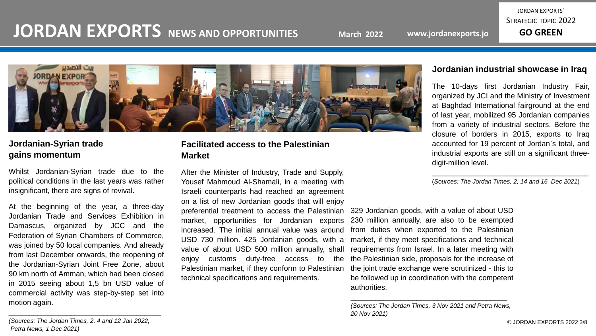# **JORDAN EXPORTS NEWS AND OPPORTUNITIES**

JORDAN EXPORTS´ STRATEGIC TOPIC 2022



## **Jordanian-Syrian trade gains momentum**

Whilst Jordanian-Syrian trade due to the political conditions in the last years was rather insignificant, there are signs of revival.

Jordanian Trade and Services Exhibition in<sup>1</sup> Damascus, organized by JCC and the Federation of Syrian Chambers of Commerce,  $\overline{a}$ was joined by 50 local companies. And already from last December onwards, the reopening of 90 km north of Amman, which had been closed. in 2015 seeing about 1,5 bn USD value of commercial activity was step-by-step set into<br>metion. 202in  $\alpha$  and  $\alpha$  are  $\alpha$ At the beginning of the year, a three-day the Jordanian-Syrian Joint Free Zone, about motion again.

### **Facilitated access to the Palestinian Market**

After the Minister of Industry, Trade and Supply, Yousef Mahmoud Al-Shamali, in a meeting with Israeli counterparts had reached an agreement on a list of new Jordanian goods that will enjoy preferential treatment to access the Palestinian market, opportunities for Jordanian exports increased. The initial annual value was around USD 730 million. 425 Jordanian goods, with a value of about USD 500 million annually, shall enjoy customs duty-free access to the Palestinian market, if they conform to Palestinian technical specifications and requirements.

### **Jordanian industrial showcase in Iraq**

The 10-days first Jordanian Industry Fair, organized by JCI and the Ministry of Investment at Baghdad International fairground at the end of last year, mobilized 95 Jordanian companies from a variety of industrial sectors. Before the closure of borders in 2015, exports to Iraq accounted for 19 percent of Jordan´s total, and industrial exports are still on a significant threedigit-million level.

\_\_\_\_\_\_\_\_\_\_\_\_\_\_\_\_\_\_\_\_\_\_\_\_\_\_\_\_\_\_\_\_\_\_\_\_\_\_ (*Sources: The Jordan Times, 2, 14 and 16 Dec 2021*)

329 Jordanian goods, with a value of about USD 230 million annually, are also to be exempted from duties when exported to the Palestinian market, if they meet specifications and technical requirements from Israel. In a later meeting with the Palestinian side, proposals for the increase of the joint trade exchange were scrutinized - this to be followed up in coordination with the competent authorities.

*(Sources: The Jordan Times, 3 Nov 2021 and Petra News, 20 Nov 2021)*

\_\_\_\_\_\_\_\_\_\_\_\_\_\_\_\_\_\_\_\_\_\_\_\_\_\_\_\_\_\_\_\_\_\_\_\_\_\_

*.*<br>*(Sources: The Jordan Times, 2, 4 and 12 Jan 2022, Petra News, 1 Dec 2021)*

\_\_\_\_\_\_\_\_\_\_\_\_\_\_\_\_\_\_\_\_\_\_\_\_\_\_\_\_\_\_\_\_\_\_\_\_\_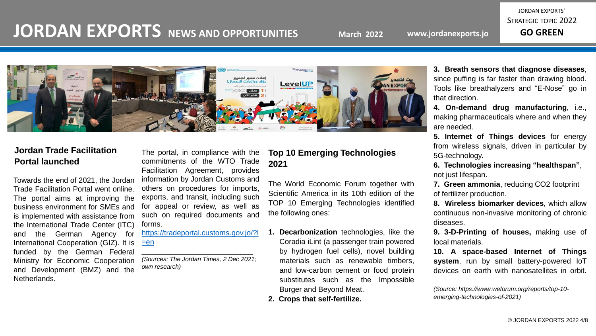## **JORDAN EXPORTS NEWS AND OPPORTUNITIES**

JORDAN EXPORTS´ STRATEGIC TOPIC 2022



### **Jordan Trade Facilitation Portal launched**

is implemented with assistance from such on red the International Trade Center (ITC) forms. and the German Agency for https://trader miemational Cooperation (GIZ). It is **ECTIVE**<br>funded by the German Federal Ministry for Economic Cooperation Towards the end of 2021, the Jordan Trade Facilitation Portal went online. The portal aims at improving the business environment for SMEs and International Cooperation (GIZ). It is and Development (BMZ) and the Netherlands.

### The portal, in compliance with the commitments of the WTO Trade Facilitation Agreement, provides information by Jordan Customs and others on procedures for imports, exports, and transit, including such for appeal or review, as well as such on required documents and forms.

[https://tradeportal.customs.gov.jo/?l](https://tradeportal.customs.gov.jo/?l=en)  $=en$ 

\_\_\_\_\_\_\_\_\_\_\_\_\_\_\_\_\_\_\_\_\_\_\_\_\_\_\_ *(Sources: The Jordan Times, 2 Dec 2021; own research)*

### **Top 10 Emerging Technologies 2021**

The World Economic Forum together with Scientific America in its 10th edition of the TOP 10 Emerging Technologies identified the following ones:

- **1. Decarbonization** technologies, like the Coradia iLint (a passenger train powered by hydrogen fuel cells), novel building materials such as renewable timbers, and low-carbon cement or food protein substitutes such as the Impossible Burger and Beyond Meat.
- **2. Crops that self-fertilize.**

**3. Breath sensors that diagnose diseases**, since puffing is far faster than drawing blood. Tools like breathalyzers and "E-Nose" go in that direction.

**4. On-demand drug manufacturing**, i.e., making pharmaceuticals where and when they are needed.

**5. Internet of Things devices** for energy from wireless signals, driven in particular by 5G-technology.

**6. Technologies increasing "healthspan"**, not just lifespan.

**7. Green ammonia**, reducing CO2 footprint of fertilizer production.

**8. Wireless biomarker devices**, which allow continuous non-invasive monitoring of chronic diseases.

**9. 3-D-Printing of houses,** making use of local materials.

**10. A space-based Internet of Things system**, run by small battery-powered IoT devices on earth with nanosatellites in orbit.

*<sup>(</sup>Source: https://www.weforum.org/reports/top-10 emerging-technologies-of-2021)*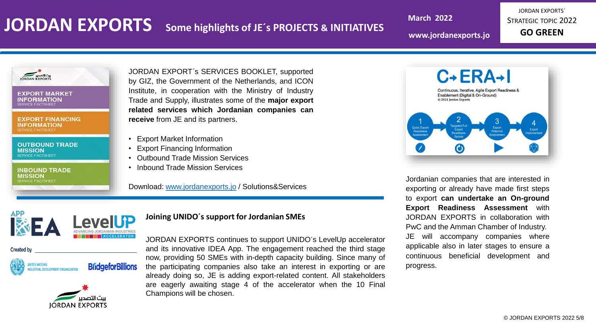# **JORDAN EXPORTS Some highlights of JE´s PROJECTS & INITIATIVES**

**March 2022**

**www.jordanexports.jo**

JORDAN EXPORTS´ STRATEGIC TOPIC 2022 **GO GREEN**

**EXPORT MARKET INFORMATION RVICE FACTSHEET** 

**EXPORT FINANCING INFORMATION ERVICE FACTSHEE** 

**OUTBOUND TRADE MISSION** SERVICE FACTSHEET

**INBOUND TRADE MISSION** SERVICE FACTSHEET

**BUSINESS MANUSCRIPT** JORDAN EXPORT´s SERVICES BOOKLET, supported by GIZ, the Government of the Netherlands, and ICON Institute, in cooperation with the Ministry of Industry Trade and Supply, illustrates some of the **major export related services which Jordanian companies can receive** from JE and its partners.

- Export Market Information
- Export Financing Information
- Outbound Trade Mission Services
- Inbound Trade Mission Services

Download: [www.jordanexports.jo](http://www.jordanexports.jo/) / Solutions&Services

### **This slide is an editable slide is an edition** of the UNIDO's support for Jordanian SMEs





**Adapt it with your needs and it will capture and it will capture and it will capture all it will capture all** 

**THE ACCELERATOR** JORDAN EXPORTS continues to support UNIDO´s LevelUp accelerator attention . Download this awesome creatives and its innovative IDEA App. The engagement reached the third stage now, providing 50 SMEs with in-depth capacity building. Since many of the participating companies also take an interest in exporting or are already doing so, JE is adding export-related content. All stakeholders are eagerly awaiting stage 4 of the accelerator when the 10 Final Champions will be chosen.



Jordanian companies that are interested in exporting or already have made first steps to export **can undertake an On-ground Export Readiness Assessment** with JORDAN EXPORTS in collaboration with PwC and the Amman Chamber of Industry. JE will accompany companies where applicable also in later stages to ensure a continuous beneficial development and progress.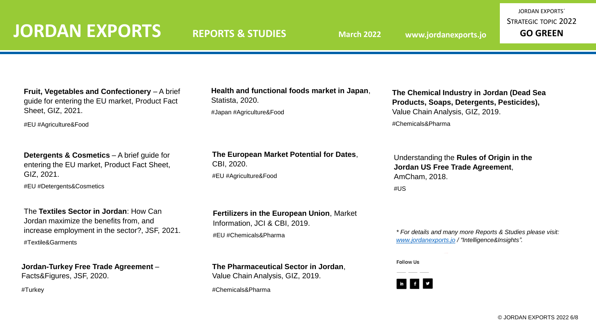**Fruit, Vegetables and Confectionery** – A brief guide for entering the EU market, Product Fact Sheet, GIZ, 2021.

#EU #Agriculture&Food

**Detergents & Cosmetics** – A brief guide for entering the EU market, Product Fact Sheet, GIZ, 2021. #EU #Detergents&Cosmetics

The **Textiles Sector in Jordan**: How Can Jordan maximize the benefits from, and increase employment in the sector?, JSF, 2021. #Textile&Garments

**Jordan-Turkey Free Trade Agreement** – Facts&Figures, JSF, 2020.

#Turkey

**Health and functional foods market in Japan**, Statista, 2020. #Japan #Agriculture&Food

**The European Market Potential for Dates**, CBI, 2020. #EU #Agriculture&Food

**The Chemical Industry in Jordan (Dead Sea Products, Soaps, Detergents, Pesticides),**  Value Chain Analysis, GIZ, 2019. #Chemicals&Pharma

Understanding the **Rules of Origin in the Jordan US Free Trade Agreement**, AmCham, 2018. #US

**Fertilizers in the European Union**, Market

**The Pharmaceutical Sector in Jordan**,

Information, JCI & CBI, 2019. #EU #Chemicals&Pharma

Value Chain Analysis, GIZ, 2019.

#Chemicals&Pharma

*\* For details and many more Reports & Studies please visit: [www.jordanexports.jo](http://www.jordanexports.jo/) / "Intelligence&Insights".* 

**Follow Us** 

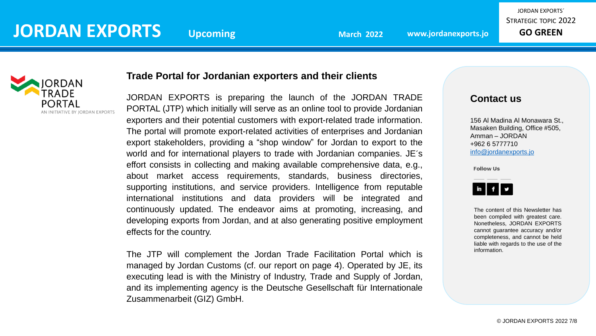

## **BUSINESS MAN Trade Portal for Jordanian exporters and their clients**

JORDAN EXPORTS is preparing the launch of the JORDAN TRADE PORTAL (JTP) which initially will serve as an online tool to provide Jordanian exporters and their potential customers with export-related trade information. The portal will promote export-related activities of enterprises and Jordanian export stakeholders, providing a "shop window" for Jordan to export to the world and for international players to trade with Jordanian companies. JE´s effort consists in collecting and making available comprehensive data, e.g., about market access requirements, standards, business directories, supporting institutions, and service providers. Intelligence from reputable international institutions and data providers will be integrated and continuously updated. The endeavor aims at promoting, increasing, and developing exports from Jordan, and at also generating positive employment effects for the country.

executing lead is with the Ministry of Industry, Trade and Supply of Jordan, and its implementing agency is the Deutsche Gesellschaft für Internationale the audience attention. Capture at the audience at the audience at the  $Z$ usammenarbeit (GIZ) GmbH. The JTP will complement the Jordan Trade Facilitation Portal which is managed by Jordan Customs (cf. our report on page 4). Operated by JE, its

## **Contact us**

156 Al Madina Al Monawara St., Masaken Building, Office #505, Amman – JORDAN +962 6 5777710 [info@jordanexports.jo](mailto:info@jordanexports.jo)

**Follow Us** 



The content of this Newsletter has been compiled with greatest care. Nonetheless, JORDAN EXPORTS cannot guarantee accuracy and/or completeness, and cannot be held liable with regards to the use of the information.